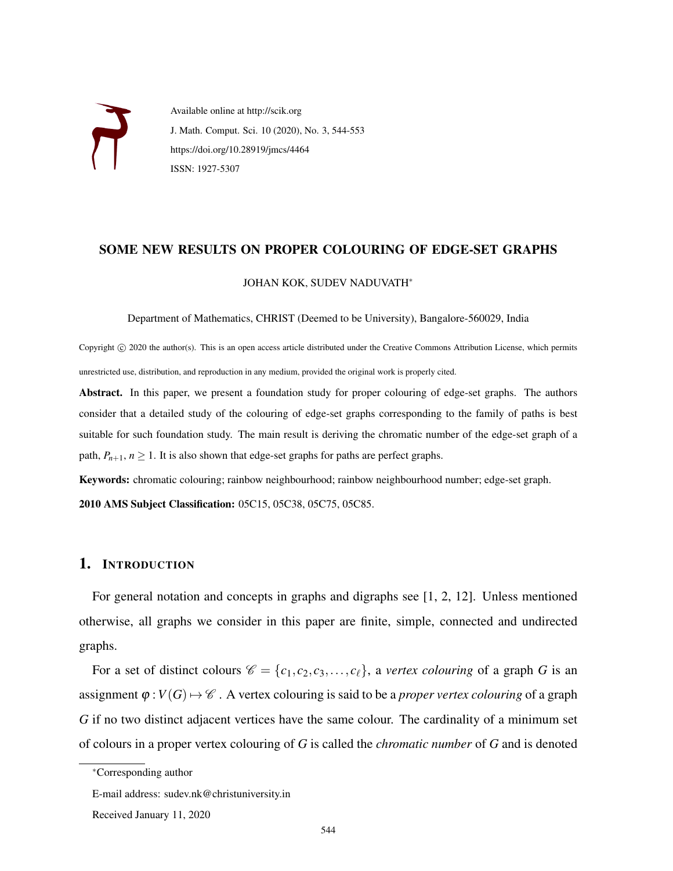

Available online at http://scik.org J. Math. Comput. Sci. 10 (2020), No. 3, 544-553 https://doi.org/10.28919/jmcs/4464 ISSN: 1927-5307

### SOME NEW RESULTS ON PROPER COLOURING OF EDGE-SET GRAPHS

#### JOHAN KOK, SUDEV NADUVATH<sup>∗</sup>

Department of Mathematics, CHRIST (Deemed to be University), Bangalore-560029, India

Copyright © 2020 the author(s). This is an open access article distributed under the Creative Commons Attribution License, which permits unrestricted use, distribution, and reproduction in any medium, provided the original work is properly cited.

Abstract. In this paper, we present a foundation study for proper colouring of edge-set graphs. The authors consider that a detailed study of the colouring of edge-set graphs corresponding to the family of paths is best suitable for such foundation study. The main result is deriving the chromatic number of the edge-set graph of a path,  $P_{n+1}$ ,  $n \ge 1$ . It is also shown that edge-set graphs for paths are perfect graphs.

Keywords: chromatic colouring; rainbow neighbourhood; rainbow neighbourhood number; edge-set graph.

2010 AMS Subject Classification: 05C15, 05C38, 05C75, 05C85.

# 1. INTRODUCTION

For general notation and concepts in graphs and digraphs see [1, 2, 12]. Unless mentioned otherwise, all graphs we consider in this paper are finite, simple, connected and undirected graphs.

For a set of distinct colours  $\mathcal{C} = \{c_1, c_2, c_3, \ldots, c_\ell\}$ , a *vertex colouring* of a graph *G* is an assignment  $\varphi: V(G) \mapsto \mathscr{C}$ . A vertex colouring is said to be a *proper vertex colouring* of a graph *G* if no two distinct adjacent vertices have the same colour. The cardinality of a minimum set of colours in a proper vertex colouring of *G* is called the *chromatic number* of *G* and is denoted

<sup>∗</sup>Corresponding author

E-mail address: sudev.nk@christuniversity.in

Received January 11, 2020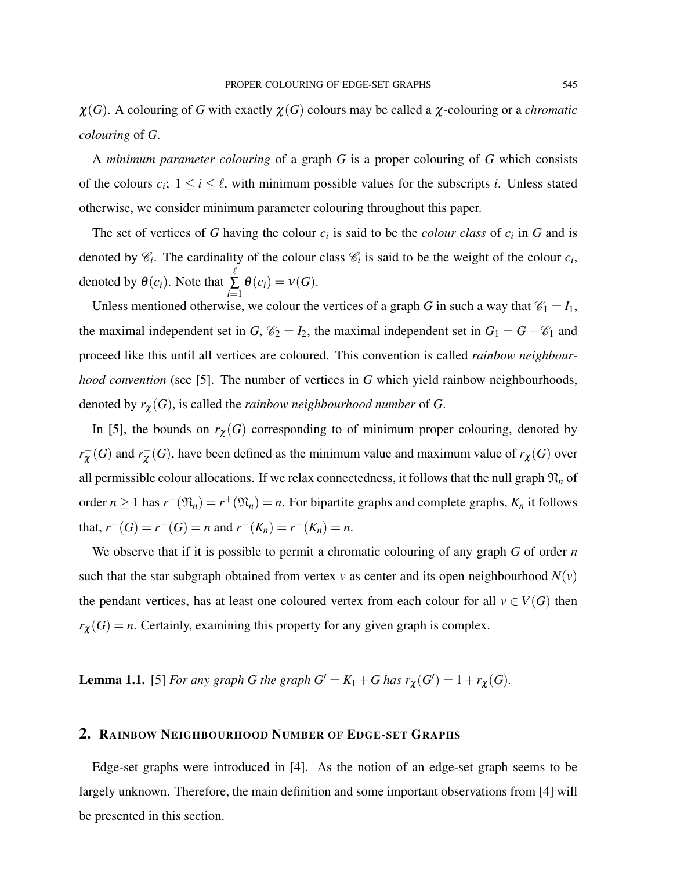A *minimum parameter colouring* of a graph *G* is a proper colouring of *G* which consists of the colours  $c_i$ ;  $1 \le i \le \ell$ , with minimum possible values for the subscripts *i*. Unless stated otherwise, we consider minimum parameter colouring throughout this paper.

The set of vertices of G having the colour  $c_i$  is said to be the *colour class* of  $c_i$  in G and is denoted by  $\mathcal{C}_i$ . The cardinality of the colour class  $\mathcal{C}_i$  is said to be the weight of the colour  $c_i$ , denoted by  $\theta(c_i)$ . Note that  $\ell$ ∑ *i*=1  $\theta(c_i) = \nu(G).$ 

Unless mentioned otherwise, we colour the vertices of a graph *G* in such a way that  $\mathcal{C}_1 = I_1$ , the maximal independent set in *G*,  $\mathcal{C}_2 = I_2$ , the maximal independent set in  $G_1 = G - \mathcal{C}_1$  and proceed like this until all vertices are coloured. This convention is called *rainbow neighbourhood convention* (see [5]. The number of vertices in *G* which yield rainbow neighbourhoods, denoted by  $r_{\chi}(G)$ , is called the *rainbow neighbourhood number* of *G*.

In [5], the bounds on  $r_{\chi}(G)$  corresponding to of minimum proper colouring, denoted by  $r_{\gamma}^{-}$  $\overline{\chi}$ <sup>(</sup>*G*) and  $r_{\chi}^+$  $\chi^+(G)$ , have been defined as the minimum value and maximum value of  $r_{\chi}(G)$  over all permissible colour allocations. If we relax connectedness, it follows that the null graph  $\mathfrak{N}_n$  of order  $n \ge 1$  has  $r^-(\mathfrak{N}_n) = r^+(\mathfrak{N}_n) = n$ . For bipartite graphs and complete graphs,  $K_n$  it follows that,  $r^{-}(G) = r^{+}(G) = n$  and  $r^{-}(K_n) = r^{+}(K_n) = n$ .

We observe that if it is possible to permit a chromatic colouring of any graph *G* of order *n* such that the star subgraph obtained from vertex *v* as center and its open neighbourhood  $N(v)$ the pendant vertices, has at least one coloured vertex from each colour for all  $v \in V(G)$  then  $r_{\chi}(G) = n$ . Certainly, examining this property for any given graph is complex.

**Lemma 1.1.** [5] *For any graph G the graph*  $G' = K_1 + G$  *has*  $r_{\chi}(G') = 1 + r_{\chi}(G)$ *.* 

### 2. RAINBOW NEIGHBOURHOOD NUMBER OF EDGE-SET GRAPHS

Edge-set graphs were introduced in [4]. As the notion of an edge-set graph seems to be largely unknown. Therefore, the main definition and some important observations from [4] will be presented in this section.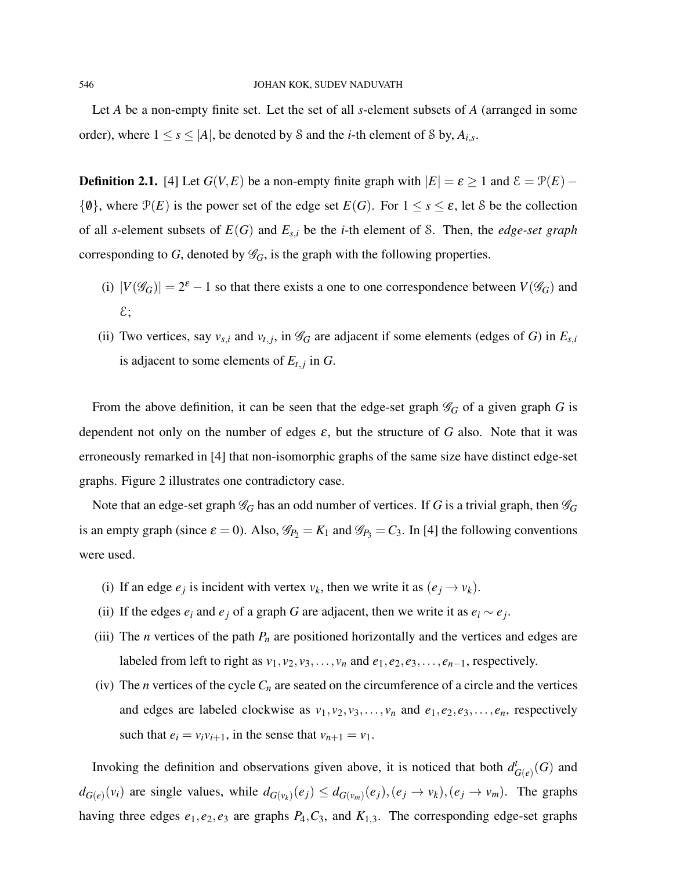Let *A* be a non-empty finite set. Let the set of all *s*-element subsets of *A* (arranged in some order), where  $1 \leq s \leq |A|$ , be denoted by S and the *i*-th element of S by,  $A_{i,s}$ .

**Definition 2.1.** [4] Let  $G(V, E)$  be a non-empty finite graph with  $|E| = \varepsilon \ge 1$  and  $\mathcal{E} = \mathcal{P}(E) \{\emptyset\}$ , where  $\mathcal{P}(E)$  is the power set of the edge set  $E(G)$ . For  $1 \leq s \leq \varepsilon$ , let S be the collection of all *s*-element subsets of *E*(*G*) and *Es*,*<sup>i</sup>* be the *i*-th element of S. Then, the *edge-set graph* corresponding to *G*, denoted by  $\mathcal{G}_G$ , is the graph with the following properties.

- (i)  $|V(\mathscr{G}_G)| = 2^{\varepsilon} 1$  so that there exists a one to one correspondence between  $V(\mathscr{G}_G)$  and  $\mathcal{E}$ ;
- (ii) Two vertices, say  $v_{s,i}$  and  $v_{t,j}$ , in  $\mathscr{G}_G$  are adjacent if some elements (edges of *G*) in  $E_{s,i}$ is adjacent to some elements of  $E_{t,j}$  in  $G$ .

From the above definition, it can be seen that the edge-set graph  $\mathcal{G}_G$  of a given graph *G* is dependent not only on the number of edges  $\varepsilon$ , but the structure of *G* also. Note that it was erroneously remarked in [4] that non-isomorphic graphs of the same size have distinct edge-set graphs. Figure 2 illustrates one contradictory case.

Note that an edge-set graph  $\mathcal{G}_G$  has an odd number of vertices. If *G* is a trivial graph, then  $\mathcal{G}_G$ is an empty graph (since  $\varepsilon = 0$ ). Also,  $\mathcal{G}_{P_2} = K_1$  and  $\mathcal{G}_{P_3} = C_3$ . In [4] the following conventions were used.

- (i) If an edge  $e_j$  is incident with vertex  $v_k$ , then we write it as  $(e_j \rightarrow v_k)$ .
- (ii) If the edges  $e_i$  and  $e_j$  of a graph *G* are adjacent, then we write it as  $e_i \sim e_j$ .
- (iii) The *n* vertices of the path  $P_n$  are positioned horizontally and the vertices and edges are labeled from left to right as  $v_1, v_2, v_3, \ldots, v_n$  and  $e_1, e_2, e_3, \ldots, e_{n-1}$ , respectively.
- (iv) The *n* vertices of the cycle  $C_n$  are seated on the circumference of a circle and the vertices and edges are labeled clockwise as  $v_1, v_2, v_3, \ldots, v_n$  and  $e_1, e_2, e_3, \ldots, e_n$ , respectively such that  $e_i = v_i v_{i+1}$ , in the sense that  $v_{n+1} = v_1$ .

Invoking the definition and observations given above, it is noticed that both  $d<sup>t</sup><sub>t</sub>$  $^t_{G(e)}(G)$  and  $d_{G(e)}(v_i)$  are single values, while  $d_{G(v_k)}(e_j) \leq d_{G(v_m)}(e_j), (e_j \to v_k), (e_j \to v_m)$ . The graphs having three edges  $e_1, e_2, e_3$  are graphs  $P_4, C_3$ , and  $K_{1,3}$ . The corresponding edge-set graphs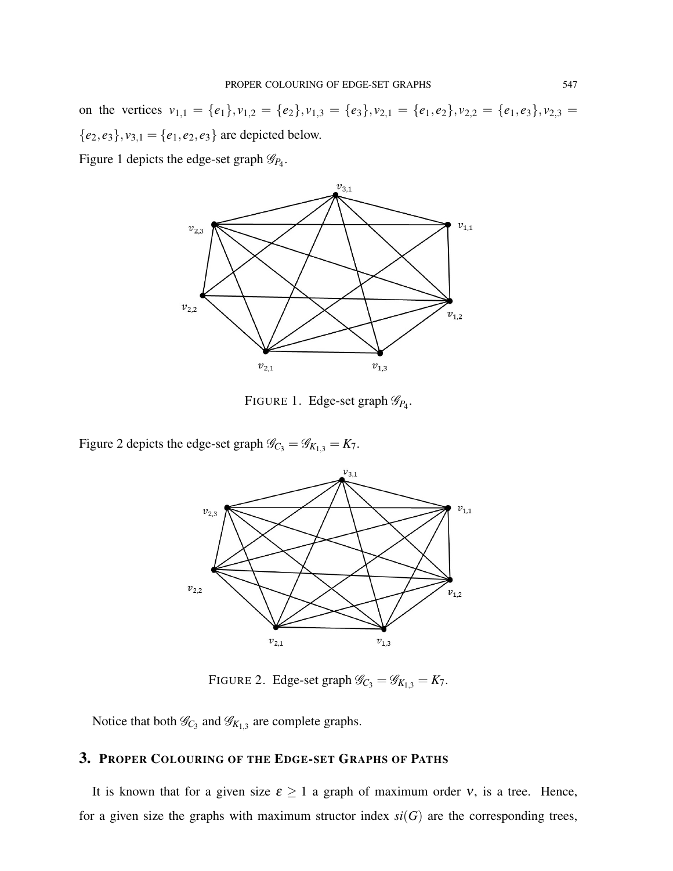on the vertices  $v_{1,1} = \{e_1\}, v_{1,2} = \{e_2\}, v_{1,3} = \{e_3\}, v_{2,1} = \{e_1, e_2\}, v_{2,2} = \{e_1, e_3\}, v_{2,3} =$  ${e_2, e_3}, v_{3,1} = {e_1, e_2, e_3}$  are depicted below.

Figure 1 depicts the edge-set graph  $\mathscr{G}_{P_4}$ .



FIGURE 1. Edge-set graph  $\mathscr{G}_{P_4}$ .

Figure 2 depicts the edge-set graph  $\mathcal{G}_{C_3} = \mathcal{G}_{K_{1,3}} = K_7$ .



FIGURE 2. Edge-set graph  $\mathcal{G}_{C_3} = \mathcal{G}_{K_{1,3}} = K_7$ .

Notice that both  $\mathcal{G}_{C_3}$  and  $\mathcal{G}_{K_{1,3}}$  are complete graphs.

# 3. PROPER COLOURING OF THE EDGE-SET GRAPHS OF PATHS

It is known that for a given size  $\varepsilon \ge 1$  a graph of maximum order v, is a tree. Hence, for a given size the graphs with maximum structor index  $si(G)$  are the corresponding trees,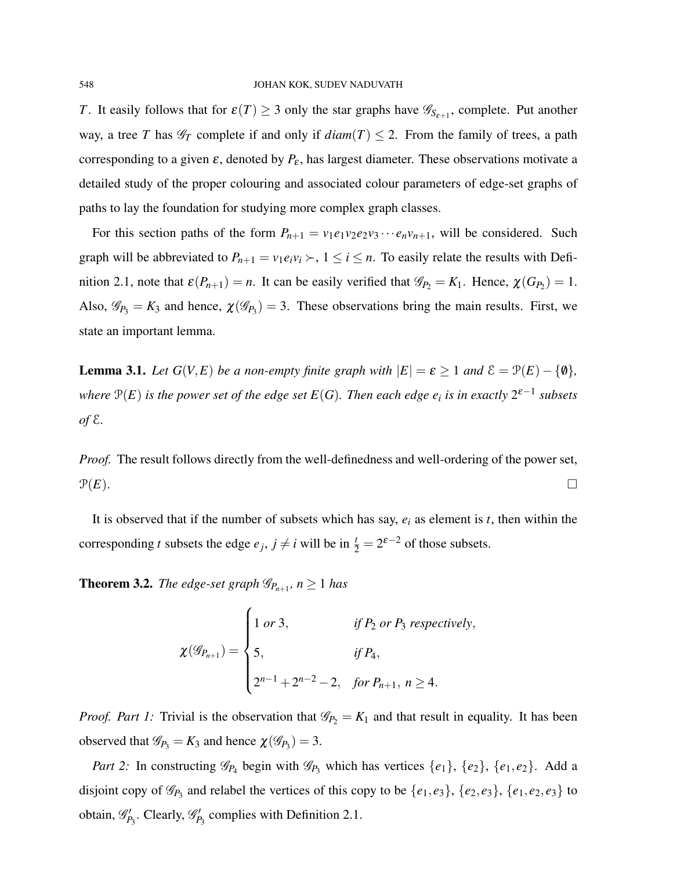*T*. It easily follows that for  $\varepsilon(T) \ge 3$  only the star graphs have  $\mathscr{G}_{S_{\varepsilon+1}}$ , complete. Put another way, a tree *T* has  $\mathcal{G}_T$  complete if and only if  $diam(T) \leq 2$ . From the family of trees, a path corresponding to a given  $\varepsilon$ , denoted by  $P_{\varepsilon}$ , has largest diameter. These observations motivate a detailed study of the proper colouring and associated colour parameters of edge-set graphs of paths to lay the foundation for studying more complex graph classes.

For this section paths of the form  $P_{n+1} = v_1 e_1 v_2 e_2 v_3 \cdots e_n v_{n+1}$ , will be considered. Such graph will be abbreviated to  $P_{n+1} = v_1 e_i v_i \succ, 1 \le i \le n$ . To easily relate the results with Definition 2.1, note that  $\varepsilon(P_{n+1}) = n$ . It can be easily verified that  $\mathscr{G}_{P_2} = K_1$ . Hence,  $\chi(G_{P_2}) = 1$ . Also,  $\mathscr{G}_{P_3} = K_3$  and hence,  $\chi(\mathscr{G}_{P_3}) = 3$ . These observations bring the main results. First, we state an important lemma.

**Lemma 3.1.** *Let*  $G(V, E)$  *be a non-empty finite graph with*  $|E| = \varepsilon \ge 1$  *and*  $\mathcal{E} = \mathcal{P}(E) - \{\emptyset\}$ *, where*  $\mathcal{P}(E)$  *is the power set of the edge set*  $E(G)$ *. Then each edge*  $e_i$  *is in exactly*  $2^{\varepsilon-1}$  *subsets of* E*.*

*Proof.* The result follows directly from the well-definedness and well-ordering of the power set,  $\mathcal{P}(E)$ .

It is observed that if the number of subsets which has say, *e<sup>i</sup>* as element is *t*, then within the corresponding *t* subsets the edge  $e_j$ ,  $j \neq i$  will be in  $\frac{t}{2} = 2^{\varepsilon - 2}$  of those subsets.

**Theorem 3.2.** *The edge-set graph*  $\mathscr{G}_{P_{n+1}}$ *, n*  $\geq 1$  *has* 

$$
\chi(\mathscr{G}_{P_{n+1}}) = \begin{cases} 1 \text{ or } 3, & \text{if } P_2 \text{ or } P_3 \text{ respectively,} \\ 5, & \text{if } P_4, \\ 2^{n-1} + 2^{n-2} - 2, & \text{for } P_{n+1}, \ n \ge 4. \end{cases}
$$

*Proof. Part 1:* Trivial is the observation that  $\mathcal{G}_{P_2} = K_1$  and that result in equality. It has been observed that  $\mathscr{G}_{P_3} = K_3$  and hence  $\chi(\mathscr{G}_{P_3}) = 3$ .

*Part 2:* In constructing  $\mathscr{G}_{P_4}$  begin with  $\mathscr{G}_{P_3}$  which has vertices  $\{e_1\}$ ,  $\{e_2\}$ ,  $\{e_1, e_2\}$ . Add a disjoint copy of  $\mathscr{G}_{P_3}$  and relabel the vertices of this copy to be  $\{e_1, e_3\}$ ,  $\{e_2, e_3\}$ ,  $\{e_1, e_2, e_3\}$  to obtain,  $\mathcal{G}'_{P_3}$ . Clearly,  $\mathcal{G}'_{P_3}$  complies with Definition 2.1.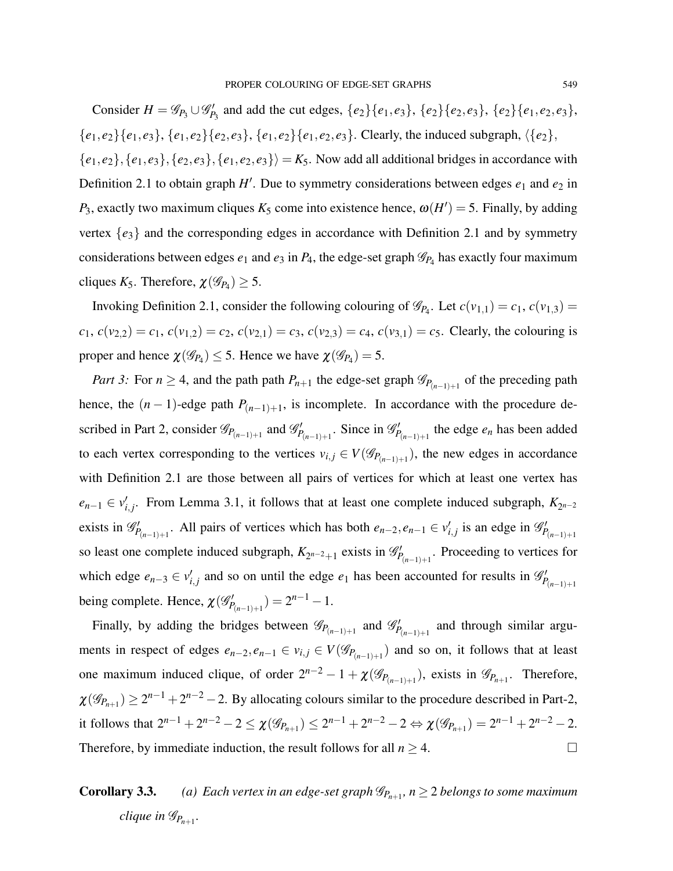Consider *H* =  $\mathcal{G}_{P_3} \cup \mathcal{G}'_{P_3}$  and add the cut edges, {*e*<sub>2</sub>}{*e*<sub>1</sub>,*e*<sub>3</sub>}, {*e*<sub>2</sub>}{*e*<sub>2</sub>,*e*<sub>3</sub>}, {*e*<sub>2</sub>}{*e*<sub>1</sub>,*e*<sub>2</sub>,*e*<sub>3</sub>},  ${e_1, e_2}{e_1, e_3}, {e_1, e_2}{e_2, e_3}, {e_1, e_2}{e_1, e_2}, {e_3}.$  Clearly, the induced subgraph,  $({e_2},$  ${e_1, e_2}, {e_1, e_3}, {e_2, e_3}, {e_1, e_2, e_3} \rangle = K_5$ . Now add all additional bridges in accordance with Definition 2.1 to obtain graph  $H'$ . Due to symmetry considerations between edges  $e_1$  and  $e_2$  in *P*<sub>3</sub>, exactly two maximum cliques  $K_5$  come into existence hence,  $\omega(H') = 5$ . Finally, by adding vertex {*e*3} and the corresponding edges in accordance with Definition 2.1 and by symmetry

considerations between edges  $e_1$  and  $e_3$  in  $P_4$ , the edge-set graph  $\mathscr{G}_{P_4}$  has exactly four maximum cliques  $K_5$ . Therefore,  $\chi(\mathscr{G}_{P_4}) \geq 5$ .

Invoking Definition 2.1, consider the following colouring of  $\mathcal{G}_{P_4}$ . Let  $c(v_{1,1}) = c_1$ ,  $c(v_{1,3}) = c_2$  $c_1$ ,  $c(v_{2,2}) = c_1$ ,  $c(v_{1,2}) = c_2$ ,  $c(v_{2,1}) = c_3$ ,  $c(v_{2,3}) = c_4$ ,  $c(v_{3,1}) = c_5$ . Clearly, the colouring is proper and hence  $\chi(\mathscr{G}_{P_4}) \leq 5$ . Hence we have  $\chi(\mathscr{G}_{P_4}) = 5$ .

*Part 3:* For  $n \geq 4$ , and the path path  $P_{n+1}$  the edge-set graph  $\mathscr{G}_{P_{(n-1)+1}}$  of the preceding path hence, the  $(n-1)$ -edge path  $P_{(n-1)+1}$ , is incomplete. In accordance with the procedure described in Part 2, consider  $\mathscr{G}_{P_{(n-1)+1}}$  and  $\mathscr{G}'_{P_{(n-1)+1}}$ . Since in  $\mathscr{G}'_{P_{(n-1)+1}}$  the edge  $e_n$  has been added to each vertex corresponding to the vertices  $v_{i,j} \in V(\mathscr{G}_{P_{(n-1)+1}})$ , the new edges in accordance with Definition 2.1 are those between all pairs of vertices for which at least one vertex has  $e_{n-1} \in v'_{i,j}$ . From Lemma 3.1, it follows that at least one complete induced subgraph,  $K_{2^{n-2}}$ exists in  $\mathscr{G}'_{P(n-1)+1}$ . All pairs of vertices which has both  $e_{n-2}, e_{n-1} \in v'_{i,j}$  is an edge in  $\mathscr{G}'_{P(n-1)+1}$ so least one complete induced subgraph,  $K_{2^{n-2}+1}$  exists in  $\mathscr{G}'_{P_{(n-1)+1}}$ . Proceeding to vertices for which edge  $e_{n-3} \in v'_{i,j}$  and so on until the edge  $e_1$  has been accounted for results in  $\mathscr{G}'_{P_{(n-1)+1}}$ being complete. Hence,  $\chi(\mathscr{G}_{P_{(n-1)+1}}') = 2^{n-1} - 1$ .

Finally, by adding the bridges between  $\mathscr{G}_{P(n-1)+1}$  and  $\mathscr{G}'_{P(n-1)+1}$  and through similar arguments in respect of edges  $e_{n-2}, e_{n-1} \in v_{i,j} \in V(\mathscr{G}_{P_{(n-1)+1}})$  and so on, it follows that at least one maximum induced clique, of order  $2^{n-2} - 1 + \chi(\mathscr{G}_{P_{(n-1)+1}})$ , exists in  $\mathscr{G}_{P_{n+1}}$ . Therefore,  $\chi(\mathscr{G}_{P_{n+1}}) \geq 2^{n-1} + 2^{n-2} - 2$ . By allocating colours similar to the procedure described in Part-2, it follows that  $2^{n-1} + 2^{n-2} - 2 \le \chi(\mathscr{G}_{P_{n+1}}) \le 2^{n-1} + 2^{n-2} - 2 \Leftrightarrow \chi(\mathscr{G}_{P_{n+1}}) = 2^{n-1} + 2^{n-2} - 2$ . Therefore, by immediate induction, the result follows for all  $n \ge 4$ .

**Corollary 3.3.** *(a)* Each vertex in an edge-set graph  $\mathscr{G}_{P_{n+1}}$ ,  $n \geq 2$  belongs to some maximum  $\mathcal{C}$ *clique in*  $\mathscr{G}_{P_{n+1}}$ .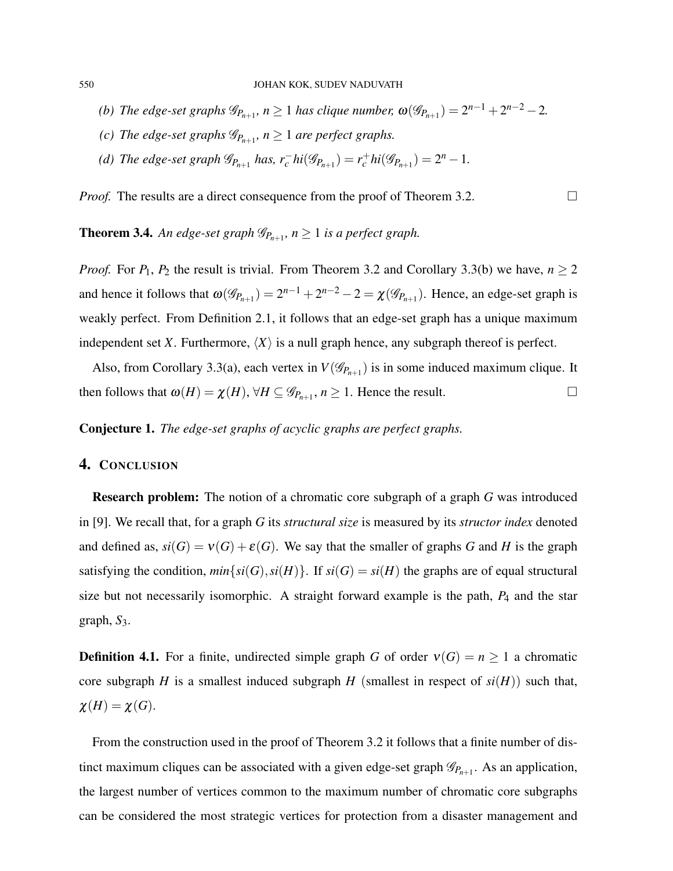- *(b) The edge-set graphs*  $\mathscr{G}_{P_{n+1}}$ ,  $n \ge 1$  *has clique number,*  $\omega(\mathscr{G}_{P_{n+1}}) = 2^{n-1} + 2^{n-2} 2$ .
- *(c)* The edge-set graphs  $\mathscr{G}_{P_{n+1}}$ ,  $n \geq 1$  are perfect graphs.
- *(d) The edge-set graph*  $\mathcal{G}_{P_{n+1}}$  *has,*  $r_c^- h i(\mathcal{G}_{P_{n+1}}) = r_c^+ h i(\mathcal{G}_{P_{n+1}}) = 2^n 1$ *.*

*Proof.* The results are a direct consequence from the proof of Theorem 3.2.

**Theorem 3.4.** An edge-set graph  $\mathscr{G}_{P_{n+1}}$ ,  $n \geq 1$  is a perfect graph.

*Proof.* For  $P_1$ ,  $P_2$  the result is trivial. From Theorem 3.2 and Corollary 3.3(b) we have,  $n \ge 2$ and hence it follows that  $\omega(\mathscr{G}_{P_{n+1}}) = 2^{n-1} + 2^{n-2} - 2 = \chi(\mathscr{G}_{P_{n+1}})$ . Hence, an edge-set graph is weakly perfect. From Definition 2.1, it follows that an edge-set graph has a unique maximum independent set *X*. Furthermore,  $\langle X \rangle$  is a null graph hence, any subgraph thereof is perfect.

Also, from Corollary 3.3(a), each vertex in  $V(\mathscr{G}_{P_{n+1}})$  is in some induced maximum clique. It then follows that  $\omega(H) = \chi(H)$ ,  $\forall H \subseteq \mathscr{G}_{P_{n+1}}$ ,  $n \ge 1$ . Hence the result.

Conjecture 1. *The edge-set graphs of acyclic graphs are perfect graphs.*

## 4. CONCLUSION

Research problem: The notion of a chromatic core subgraph of a graph *G* was introduced in [9]. We recall that, for a graph *G* its *structural size* is measured by its *structor index* denoted and defined as,  $si(G) = v(G) + \varepsilon(G)$ . We say that the smaller of graphs *G* and *H* is the graph satisfying the condition,  $min{s(i(G), si(H)}$ . If  $si(G) = si(H)$  the graphs are of equal structural size but not necessarily isomorphic. A straight forward example is the path, *P*<sup>4</sup> and the star graph,  $S_3$ .

**Definition 4.1.** For a finite, undirected simple graph *G* of order  $v(G) = n \ge 1$  a chromatic core subgraph *H* is a smallest induced subgraph *H* (smallest in respect of  $si(H)$ ) such that,  $\chi(H) = \chi(G).$ 

From the construction used in the proof of Theorem 3.2 it follows that a finite number of distinct maximum cliques can be associated with a given edge-set graph  $\mathscr{G}_{P_{n+1}}$ . As an application, the largest number of vertices common to the maximum number of chromatic core subgraphs can be considered the most strategic vertices for protection from a disaster management and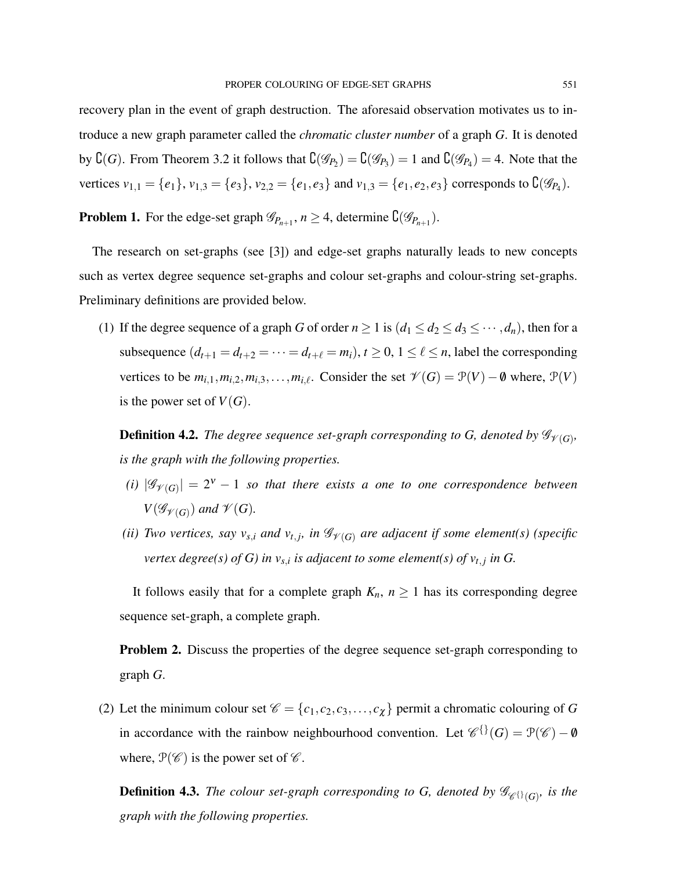recovery plan in the event of graph destruction. The aforesaid observation motivates us to introduce a new graph parameter called the *chromatic cluster number* of a graph *G*. It is denoted by  ${\complement}(G)$ . From Theorem 3.2 it follows that  ${\complement}(\mathscr{G}_{P_2}) = {\complement}(\mathscr{G}_{P_3}) = 1$  and  ${\complement}(\mathscr{G}_{P_4}) = 4$ . Note that the vertices  $v_{1,1} = \{e_1\}$ ,  $v_{1,3} = \{e_3\}$ ,  $v_{2,2} = \{e_1, e_3\}$  and  $v_{1,3} = \{e_1, e_2, e_3\}$  corresponds to  $\mathcal{C}(\mathscr{G}_{P_4})$ .

**Problem 1.** For the edge-set graph  $\mathscr{G}_{P_{n+1}}$ ,  $n \geq 4$ , determine  $\mathcal{C}(\mathscr{G}_{P_{n+1}})$ .

The research on set-graphs (see [3]) and edge-set graphs naturally leads to new concepts such as vertex degree sequence set-graphs and colour set-graphs and colour-string set-graphs. Preliminary definitions are provided below.

(1) If the degree sequence of a graph *G* of order  $n \ge 1$  is  $(d_1 \le d_2 \le d_3 \le \cdots, d_n)$ , then for a subsequence  $(d_{t+1} = d_{t+2} = \cdots = d_{t+\ell} = m_i), t \ge 0, 1 \le \ell \le n$ , label the corresponding vertices to be  $m_{i,1}, m_{i,2}, m_{i,3}, \ldots, m_{i,\ell}$ . Consider the set  $\mathcal{V}(G) = \mathcal{P}(V) - \emptyset$  where,  $\mathcal{P}(V)$ is the power set of  $V(G)$ .

**Definition 4.2.** The degree sequence set-graph corresponding to G, denoted by  $\mathscr{G}_{\mathscr{V}(G)}$ , *is the graph with the following properties.*

- *(i)*  $|\mathscr{G}_{\mathscr{V}(G)}| = 2^{\nu} 1$  *so that there exists a one to one correspondence between*  $V(\mathscr{G}_{\mathscr{V}(G)})$  and  $\mathscr{V}(G)$ .
- *(ii) Two vertices, say*  $v_{s,i}$  *and*  $v_{t,j}$ *, in*  $\mathcal{G}_{\mathcal{V}(G)}$  *are adjacent if some element(s) (specific vertex degree(s) of G) in*  $v_{s,i}$  *is adjacent to some element(s) of*  $v_{t,j}$  *in G.*

It follows easily that for a complete graph  $K_n$ ,  $n \geq 1$  has its corresponding degree sequence set-graph, a complete graph.

Problem 2. Discuss the properties of the degree sequence set-graph corresponding to graph *G*.

(2) Let the minimum colour set  $\mathcal{C} = \{c_1, c_2, c_3, \dots, c_{\chi}\}\$  permit a chromatic colouring of *G* in accordance with the rainbow neighbourhood convention. Let  $\mathscr{C}^{\{ \}}(G) = \mathcal{P}(\mathscr{C}) - \mathbf{0}$ where,  $\mathcal{P}(\mathscr{C})$  is the power set of  $\mathscr{C}$ .

**Definition 4.3.** *The colour set-graph corresponding to G, denoted by*  $\mathscr{G}_{\mathscr{C}^{\{ \}}(G)}$ *, is the graph with the following properties.*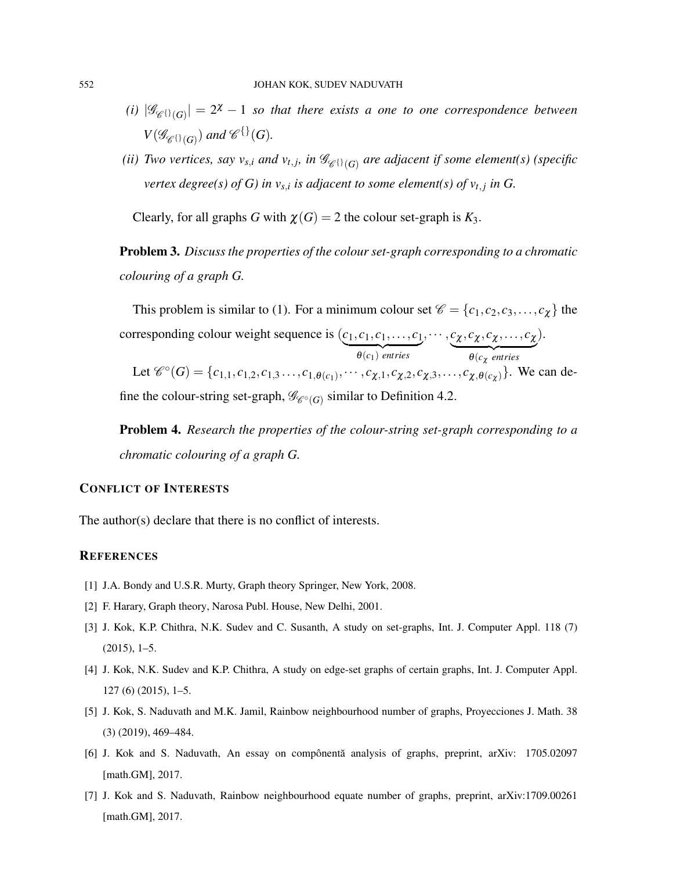- *(i)*  $|\mathscr{G}_{\mathscr{C}(\mathcal{G})}| = 2^{\chi} 1$  so that there exists a one to one correspondence between  $V(\mathscr{G}_{\mathscr{C}^{\{ \} }(\mathbb{G})})$  and  $\mathscr{C}^{\{ \} }(G).$
- *(ii) Two vertices, say*  $v_{s,i}$  *and*  $v_{t,j}$ *, in*  $\mathscr{G}_{\mathscr{C}^{\{\}}(G)}$  *are adjacent if some element(s) (specific vertex degree(s) of G) in*  $v_{s,i}$  *is adjacent to some element(s) of*  $v_{t,j}$  *in G.*

Clearly, for all graphs *G* with  $\chi(G) = 2$  the colour set-graph is  $K_3$ .

Problem 3. *Discuss the properties of the colour set-graph corresponding to a chromatic colouring of a graph G.*

This problem is similar to (1). For a minimum colour set  $\mathcal{C} = \{c_1, c_2, c_3, \dots, c_{\chi}\}\)$  the corresponding colour weight sequence is  $(c_1, c_1, c_1, \ldots, c_1)$ ,··· , *c*<sup>χ</sup> , *c*<sup>χ</sup> , *c*<sup>χ</sup> ,..., *c*<sup>χ</sup> ).

 ${\theta(c_1)}$  *entries*  ${\theta(c_{\chi} \text{ entries}})$ Let  $\mathcal{C}^{\circ}(G) = \{c_{1,1}, c_{1,2}, c_{1,3}, \ldots, c_{1, \theta(c_1)}, \cdots, c_{\chi, 1}, c_{\chi, 2}, c_{\chi, 3}, \ldots, c_{\chi, \theta(c_{\chi})}\}\.$  We can define the colour-string set-graph,  $\mathcal{G}_{\mathscr{C}^{\circ}(G)}$  similar to Definition 4.2.

Problem 4. *Research the properties of the colour-string set-graph corresponding to a chromatic colouring of a graph G.*

## CONFLICT OF INTERESTS

The author(s) declare that there is no conflict of interests.

# **REFERENCES**

- [1] J.A. Bondy and U.S.R. Murty, Graph theory Springer, New York, 2008.
- [2] F. Harary, Graph theory, Narosa Publ. House, New Delhi, 2001.
- [3] J. Kok, K.P. Chithra, N.K. Sudev and C. Susanth, A study on set-graphs, Int. J. Computer Appl. 118 (7) (2015), 1–5.
- [4] J. Kok, N.K. Sudev and K.P. Chithra, A study on edge-set graphs of certain graphs, Int. J. Computer Appl. 127 (6) (2015), 1–5.
- [5] J. Kok, S. Naduvath and M.K. Jamil, Rainbow neighbourhood number of graphs, Proyecciones J. Math. 38 (3) (2019), 469–484.
- [6] J. Kok and S. Naduvath, An essay on compônentă analysis of graphs, preprint, arXiv: 1705.02097 [math.GM], 2017.
- [7] J. Kok and S. Naduvath, Rainbow neighbourhood equate number of graphs, preprint, arXiv:1709.00261 [math.GM], 2017.